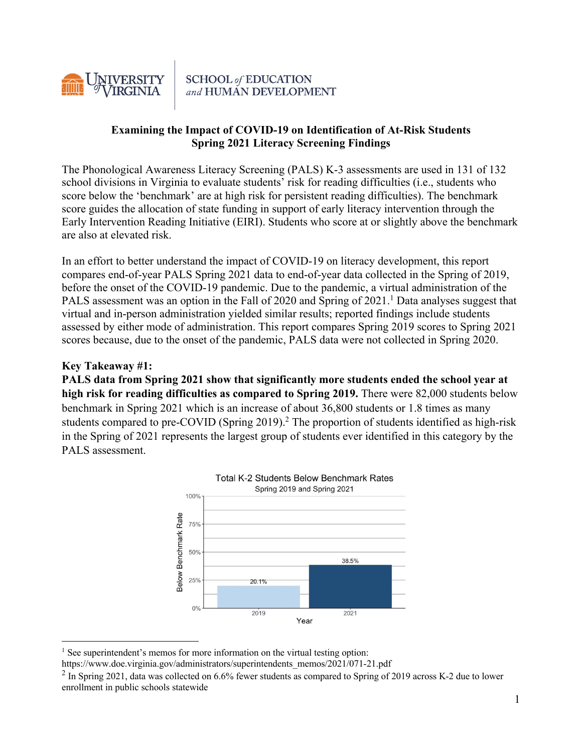

# **SCHOOL of EDUCATION** and HUMAN DEVELOPMENT

## **Examining the Impact of COVID-19 on Identification of At-Risk Students Spring 2021 Literacy Screening Findings**

The Phonological Awareness Literacy Screening (PALS) K-3 assessments are used in 131 of 132 school divisions in Virginia to evaluate students' risk for reading difficulties (i.e., students who score below the 'benchmark' are at high risk for persistent reading difficulties). The benchmark score guides the allocation of state funding in support of early literacy intervention through the Early Intervention Reading Initiative (EIRI). Students who score at or slightly above the benchmark are also at elevated risk.

In an effort to better understand the impact of COVID-19 on literacy development, this report compares end-of-year PALS Spring 2021 data to end-of-year data collected in the Spring of 2019, before the onset of the COVID-19 pandemic. Due to the pandemic, a virtual administration of the PALS assessment was an option in the Fall of 2020 and Spring of 2021.<sup>1</sup> Data analyses suggest that virtual and in-person administration yielded similar results; reported findings include students assessed by either mode of administration. This report compares Spring 2019 scores to Spring 2021 scores because, due to the onset of the pandemic, PALS data were not collected in Spring 2020.

## **Key Takeaway #1:**

**PALS data from Spring 2021 show that significantly more students ended the school year at high risk for reading difficulties as compared to Spring 2019.** There were 82,000 students below benchmark in Spring 2021 which is an increase of about 36,800 students or 1.8 times as many students compared to pre-COVID (Spring 2019). <sup>2</sup> The proportion of students identified as high-risk in the Spring of 2021 represents the largest group of students ever identified in this category by the PALS assessment.



 $<sup>1</sup>$  See superintendent's memos for more information on the virtual testing option:</sup>

https://www.doe.virginia.gov/administrators/superintendents\_memos/2021/071-21.pdf

<sup>&</sup>lt;sup>2</sup> In Spring 2021, data was collected on 6.6% fewer students as compared to Spring of 2019 across K-2 due to lower enrollment in public schools statewide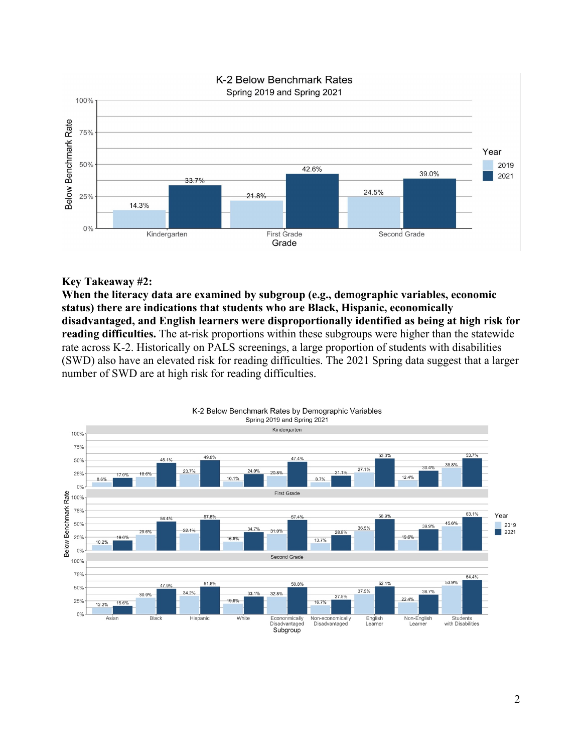

## **Key Takeaway #2:**

**When the literacy data are examined by subgroup (e.g., demographic variables, economic status) there are indications that students who are Black, Hispanic, economically disadvantaged, and English learners were disproportionally identified as being at high risk for reading difficulties.** The at-risk proportions within these subgroups were higher than the statewide rate across K-2. Historically on PALS screenings, a large proportion of students with disabilities (SWD) also have an elevated risk for reading difficulties. The 2021 Spring data suggest that a larger number of SWD are at high risk for reading difficulties.

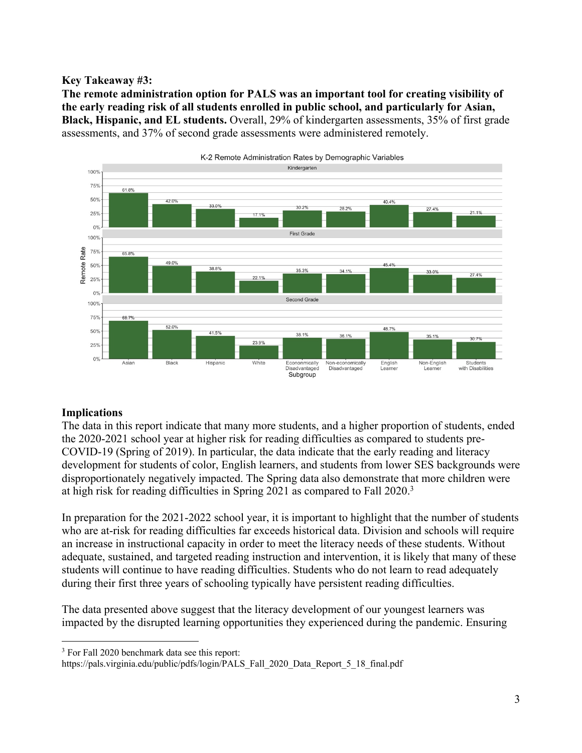#### **Key Takeaway #3:**

**The remote administration option for PALS was an important tool for creating visibility of the early reading risk of all students enrolled in public school, and particularly for Asian, Black, Hispanic, and EL students.** Overall, 29% of kindergarten assessments, 35% of first grade assessments, and 37% of second grade assessments were administered remotely.



#### **Implications**

The data in this report indicate that many more students, and a higher proportion of students, ended the 2020-2021 school year at higher risk for reading difficulties as compared to students pre-COVID-19 (Spring of 2019). In particular, the data indicate that the early reading and literacy development for students of color, English learners, and students from lower SES backgrounds were disproportionately negatively impacted. The Spring data also demonstrate that more children were at high risk for reading difficulties in Spring 2021 as compared to Fall 2020.<sup>3</sup>

In preparation for the 2021-2022 school year, it is important to highlight that the number of students who are at-risk for reading difficulties far exceeds historical data. Division and schools will require an increase in instructional capacity in order to meet the literacy needs of these students. Without adequate, sustained, and targeted reading instruction and intervention, it is likely that many of these students will continue to have reading difficulties. Students who do not learn to read adequately during their first three years of schooling typically have persistent reading difficulties.

The data presented above suggest that the literacy development of our youngest learners was impacted by the disrupted learning opportunities they experienced during the pandemic. Ensuring

<sup>&</sup>lt;sup>3</sup> For Fall 2020 benchmark data see this report:

https://pals.virginia.edu/public/pdfs/login/PALS\_Fall\_2020\_Data\_Report\_5\_18\_final.pdf